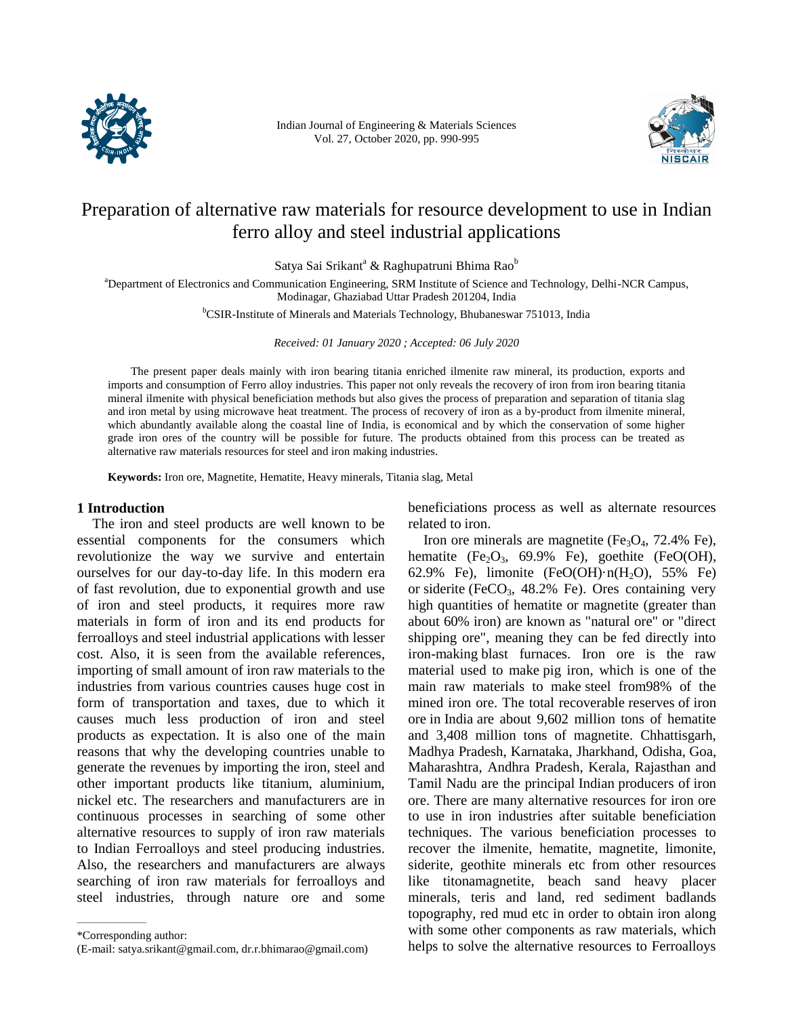

Indian Journal of Engineering & Materials Sciences Vol. 27, October 2020, pp. 990-995



# Preparation of alternative raw materials for resource development to use in Indian ferro alloy and steel industrial applications

Satya Sai Srikant<sup>a</sup> & Raghupatruni Bhima Rao<sup>b</sup>

<sup>a</sup>Department of Electronics and Communication Engineering, SRM Institute of Science and Technology, Delhi-NCR Campus, Modinagar, Ghaziabad Uttar Pradesh 201204, India

<sup>b</sup>CSIR-Institute of Minerals and Materials Technology, Bhubaneswar 751013, India

*Received: 01 January 2020 ; Accepted: 06 July 2020* 

The present paper deals mainly with iron bearing titania enriched ilmenite raw mineral, its production, exports and imports and consumption of Ferro alloy industries. This paper not only reveals the recovery of iron from iron bearing titania mineral ilmenite with physical beneficiation methods but also gives the process of preparation and separation of titania slag and iron metal by using microwave heat treatment. The process of recovery of iron as a by-product from ilmenite mineral, which abundantly available along the coastal line of India, is economical and by which the conservation of some higher grade iron ores of the country will be possible for future. The products obtained from this process can be treated as alternative raw materials resources for steel and iron making industries.

**Keywords:** Iron ore, Magnetite, Hematite, Heavy minerals, Titania slag, Metal

## **1 Introduction**

The iron and steel products are well known to be essential components for the consumers which revolutionize the way we survive and entertain ourselves for our day-to-day life. In this modern era of fast revolution, due to exponential growth and use of iron and steel products, it requires more raw materials in form of iron and its end products for ferroalloys and steel industrial applications with lesser cost. Also, it is seen from the available references, importing of small amount of iron raw materials to the industries from various countries causes huge cost in form of transportation and taxes, due to which it causes much less production of iron and steel products as expectation. It is also one of the main reasons that why the developing countries unable to generate the revenues by importing the iron, steel and other important products like titanium, aluminium, nickel etc. The researchers and manufacturers are in continuous processes in searching of some other alternative resources to supply of iron raw materials to Indian Ferroalloys and steel producing industries. Also, the researchers and manufacturers are always searching of iron raw materials for ferroalloys and steel industries, through nature ore and some

——————

beneficiations process as well as alternate resources related to iron.

Iron ore minerals are magnetite ( $Fe<sub>3</sub>O<sub>4</sub>$ , 72.4% Fe), hematite (Fe<sub>2</sub>O<sub>3</sub>, 69.9% Fe), goethite (FeO(OH), 62.9% Fe), limonite (FeO(OH) $\cdot$ n(H<sub>2</sub>O), 55% Fe) or siderite (FeCO<sub>3</sub>,  $48.2\%$  Fe). Ores containing very high quantities of hematite or magnetite (greater than about 60% iron) are known as "natural ore" or "direct shipping ore", meaning they can be fed directly into iron-making blast furnaces. Iron ore is the raw material used to make pig iron, which is one of the main raw materials to make steel from98% of the mined iron ore. The total recoverable reserves of iron ore in India are about 9,602 million tons of hematite and 3,408 million tons of magnetite. Chhattisgarh, Madhya Pradesh, Karnataka, Jharkhand, Odisha, Goa, Maharashtra, Andhra Pradesh, Kerala, Rajasthan and Tamil Nadu are the principal Indian producers of iron ore. There are many alternative resources for iron ore to use in iron industries after suitable beneficiation techniques. The various beneficiation processes to recover the ilmenite, hematite, magnetite, limonite, siderite, geothite minerals etc from other resources like titonamagnetite, beach sand heavy placer minerals, teris and land, red sediment badlands topography, red mud etc in order to obtain iron along with some other components as raw materials, which helps to solve the alternative resources to Ferroalloys

<sup>\*</sup>Corresponding author:

<sup>(</sup>E-mail: satya.srikant@gmail.com, dr.r.bhimarao@gmail.com)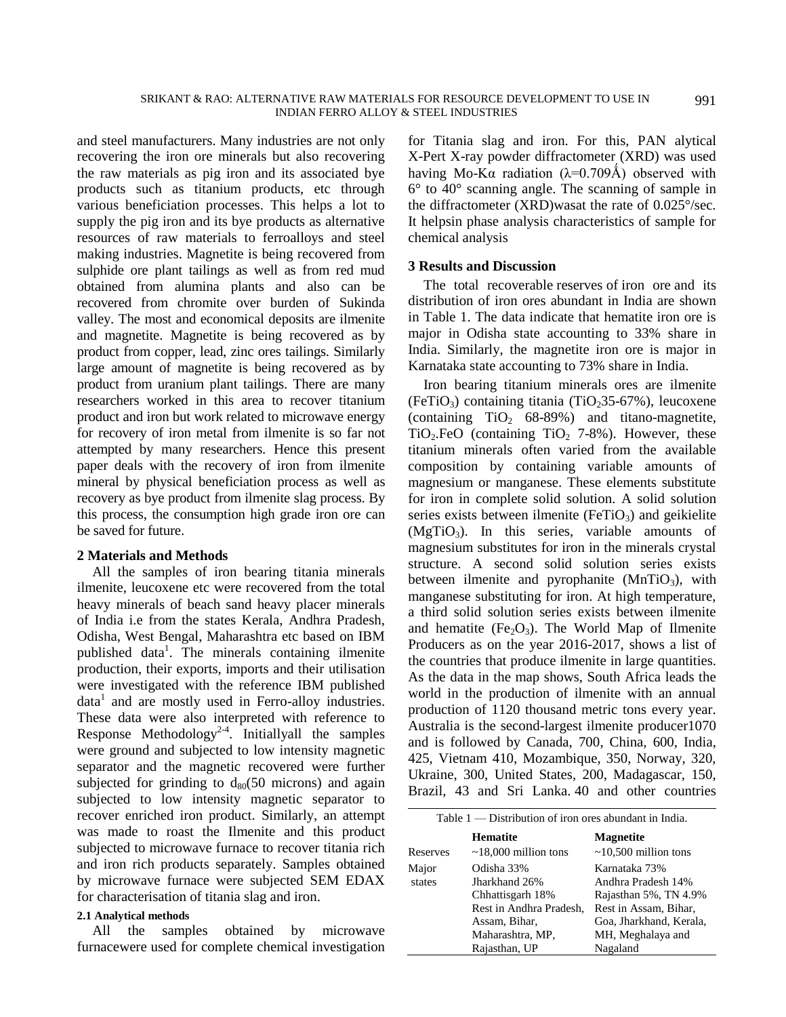and steel manufacturers. Many industries are not only recovering the iron ore minerals but also recovering the raw materials as pig iron and its associated bye products such as titanium products, etc through various beneficiation processes. This helps a lot to supply the pig iron and its bye products as alternative resources of raw materials to ferroalloys and steel making industries. Magnetite is being recovered from sulphide ore plant tailings as well as from red mud obtained from alumina plants and also can be recovered from chromite over burden of Sukinda valley. The most and economical deposits are ilmenite and magnetite. Magnetite is being recovered as by product from copper, lead, zinc ores tailings. Similarly large amount of magnetite is being recovered as by product from uranium plant tailings. There are many researchers worked in this area to recover titanium product and iron but work related to microwave energy for recovery of iron metal from ilmenite is so far not attempted by many researchers. Hence this present paper deals with the recovery of iron from ilmenite mineral by physical beneficiation process as well as recovery as bye product from ilmenite slag process. By this process, the consumption high grade iron ore can be saved for future.

## **2 Materials and Methods**

All the samples of iron bearing titania minerals ilmenite, leucoxene etc were recovered from the total heavy minerals of beach sand heavy placer minerals of India i.e from the states Kerala, Andhra Pradesh, Odisha, West Bengal, Maharashtra etc based on IBM published data<sup>1</sup>. The minerals containing ilmenite production, their exports, imports and their utilisation were investigated with the reference IBM published data<sup>1</sup> and are mostly used in Ferro-alloy industries. These data were also interpreted with reference to Response Methodology<sup>2-4</sup>. Initiallyall the samples were ground and subjected to low intensity magnetic separator and the magnetic recovered were further subjected for grinding to  $d_{80}(50 \text{ microns})$  and again subjected to low intensity magnetic separator to recover enriched iron product. Similarly, an attempt was made to roast the Ilmenite and this product subjected to microwave furnace to recover titania rich and iron rich products separately. Samples obtained by microwave furnace were subjected SEM EDAX for characterisation of titania slag and iron.

#### **2.1 Analytical methods**

All the samples obtained by microwave furnacewere used for complete chemical investigation

for Titania slag and iron. For this, PAN alytical X-Pert X-ray powder diffractometer (XRD) was used having Mo-K $\alpha$  radiation ( $\lambda$ =0.709Å) observed with 6° to 40° scanning angle. The scanning of sample in the diffractometer (XRD)wasat the rate of 0.025°/sec. It helpsin phase analysis characteristics of sample for chemical analysis

## **3 Results and Discussion**

The total recoverable reserves of iron ore and its distribution of iron ores abundant in India are shown in Table 1. The data indicate that hematite iron ore is major in Odisha state accounting to 33% share in India. Similarly, the magnetite iron ore is major in Karnataka state accounting to 73% share in India.

Iron bearing titanium minerals ores are ilmenite (FeTiO<sub>3</sub>) containing titania (TiO<sub>2</sub>35-67%), leucoxene (containing  $TiO<sub>2</sub>$  68-89%) and titano-magnetite,  $TiO<sub>2</sub>FeO$  (containing  $TiO<sub>2</sub>$  7-8%). However, these titanium minerals often varied from the available composition by containing variable amounts of magnesium or manganese. These elements substitute for iron in complete solid solution. A solid solution series exists between ilmenite ( $F\in TiO<sub>3</sub>$ ) and geikielite  $(MgTiO<sub>3</sub>)$ . In this series, variable amounts of magnesium substitutes for iron in the minerals crystal structure. A second solid solution series exists between ilmenite and pyrophanite  $(MnTiO<sub>3</sub>)$ , with manganese substituting for iron. At high temperature, a third solid solution series exists between ilmenite and hematite ( $Fe<sub>2</sub>O<sub>3</sub>$ ). The World Map of Ilmenite Producers as on the year 2016-2017, shows a list of the countries that produce ilmenite in large quantities. As the data in the map shows, South Africa leads the world in the production of ilmenite with an annual production of 1120 thousand metric tons every year. Australia is the second-largest ilmenite producer1070 and is followed by Canada, 700, China, 600, India, 425, Vietnam 410, Mozambique, 350, Norway, 320, Ukraine, 300, United States, 200, Madagascar, 150, Brazil, 43 and Sri Lanka. 40 and other countries

| Table $1$ — Distribution of iron ores abundant in India. |                            |                            |  |  |
|----------------------------------------------------------|----------------------------|----------------------------|--|--|
|                                                          | <b>Hematite</b>            | <b>Magnetite</b>           |  |  |
| Reserves                                                 | $\sim$ 18,000 million tons | $\sim$ 10,500 million tons |  |  |
| Major                                                    | Odisha 33%                 | Karnataka 73%              |  |  |
| states                                                   | Jharkhand 26%              | Andhra Pradesh 14%         |  |  |
|                                                          | Chhattisgarh 18%           | Rajasthan 5%, TN 4.9%      |  |  |
|                                                          | Rest in Andhra Pradesh,    | Rest in Assam, Bihar,      |  |  |
|                                                          | Assam, Bihar,              | Goa, Jharkhand, Kerala,    |  |  |
|                                                          | Maharashtra, MP,           | MH, Meghalaya and          |  |  |
|                                                          | Rajasthan, UP              | Nagaland                   |  |  |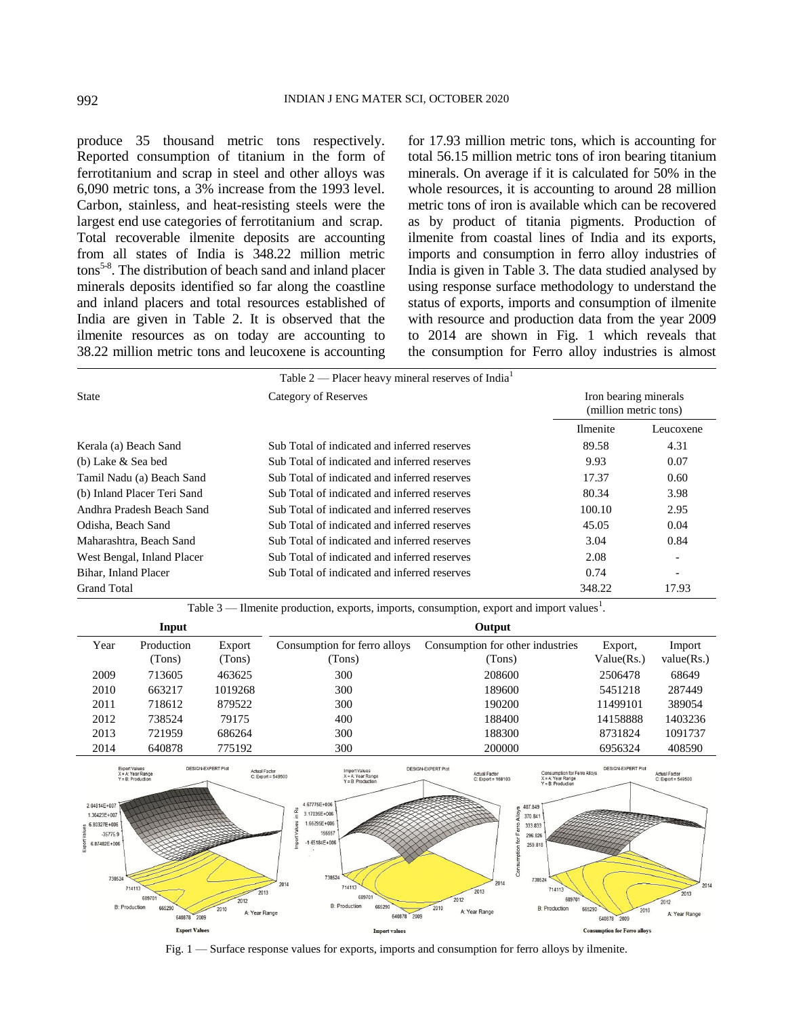produce 35 thousand metric tons respectively. Reported consumption of titanium in the form of ferrotitanium and scrap in steel and other alloys was 6,090 metric tons, a 3% increase from the 1993 level. Carbon, stainless, and heat-resisting steels were the largest end use categories of ferrotitanium and scrap. Total recoverable ilmenite deposits are accounting from all states of India is 348.22 million metric tons<sup>5-8</sup>. The distribution of beach sand and inland placer minerals deposits identified so far along the coastline and inland placers and total resources established of India are given in Table 2. It is observed that the ilmenite resources as on today are accounting to 38.22 million metric tons and leucoxene is accounting

for 17.93 million metric tons, which is accounting for total 56.15 million metric tons of iron bearing titanium minerals. On average if it is calculated for 50% in the whole resources, it is accounting to around 28 million metric tons of iron is available which can be recovered as by product of titania pigments. Production of ilmenite from coastal lines of India and its exports, imports and consumption in ferro alloy industries of India is given in Table 3. The data studied analysed by using response surface methodology to understand the status of exports, imports and consumption of ilmenite with resource and production data from the year 2009 to 2014 are shown in Fig. 1 which reveals that the consumption for Ferro alloy industries is almost

| Table 2 — Placer heavy mineral reserves of India <sup>1</sup> |                                              |                                                |                          |  |  |
|---------------------------------------------------------------|----------------------------------------------|------------------------------------------------|--------------------------|--|--|
| <b>State</b>                                                  | Category of Reserves                         | Iron bearing minerals<br>(million metric tons) |                          |  |  |
|                                                               |                                              | <b>Ilmenite</b>                                | Leucoxene                |  |  |
| Kerala (a) Beach Sand                                         | Sub Total of indicated and inferred reserves | 89.58                                          | 4.31                     |  |  |
| (b) Lake & Sea bed                                            | Sub Total of indicated and inferred reserves | 9.93                                           | 0.07                     |  |  |
| Tamil Nadu (a) Beach Sand                                     | Sub Total of indicated and inferred reserves | 17.37                                          | 0.60                     |  |  |
| (b) Inland Placer Teri Sand                                   | Sub Total of indicated and inferred reserves | 80.34                                          | 3.98                     |  |  |
| Andhra Pradesh Beach Sand                                     | Sub Total of indicated and inferred reserves | 100.10                                         | 2.95                     |  |  |
| Odisha, Beach Sand                                            | Sub Total of indicated and inferred reserves | 45.05                                          | 0.04                     |  |  |
| Maharashtra, Beach Sand                                       | Sub Total of indicated and inferred reserves | 3.04                                           | 0.84                     |  |  |
| West Bengal, Inland Placer                                    | Sub Total of indicated and inferred reserves | 2.08                                           | $\overline{\phantom{a}}$ |  |  |
| Bihar, Inland Placer                                          | Sub Total of indicated and inferred reserves | 0.74                                           | $\overline{\phantom{a}}$ |  |  |
| Grand Total                                                   |                                              | 348.22                                         | 17.93                    |  |  |

Table  $3$  — Ilmenite production, exports, imports, consumption, export and import values<sup>1</sup>.

|      | Input      |         |                              | Output                           |            |            |
|------|------------|---------|------------------------------|----------------------------------|------------|------------|
| Year | Production | Export  | Consumption for ferro alloys | Consumption for other industries | Export,    | Import     |
|      | (Tons)     | Tons)   | (Tons)                       | (Tons)                           | Value(Rs.) | value(Rs.) |
| 2009 | 713605     | 463625  | 300                          | 208600                           | 2506478    | 68649      |
| 2010 | 663217     | 1019268 | 300                          | 189600                           | 5451218    | 287449     |
| 2011 | 718612     | 879522  | 300                          | 190200                           | 11499101   | 389054     |
| 2012 | 738524     | 79175   | 400                          | 188400                           | 14158888   | 1403236    |
| 2013 | 721959     | 686264  | 300                          | 188300                           | 8731824    | 1091737    |
| 2014 | 640878     | 775192  | 300                          | 200000                           | 6956324    | 408590     |



Fig. 1 — Surface response values for exports, imports and consumption for ferro alloys by ilmenite.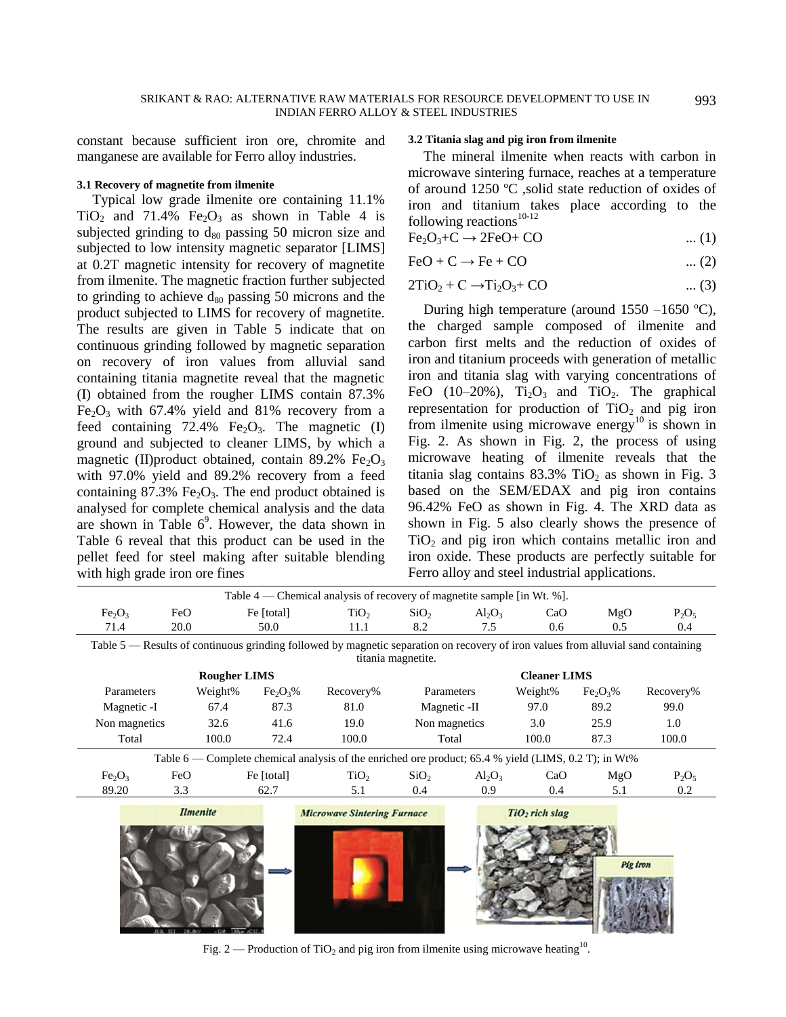constant because sufficient iron ore, chromite and manganese are available for Ferro alloy industries.

#### **3.1 Recovery of magnetite from ilmenite**

Typical low grade ilmenite ore containing 11.1%  $TiO<sub>2</sub>$  and 71.4% Fe<sub>2</sub>O<sub>3</sub> as shown in Table 4 is subjected grinding to  $d_{80}$  passing 50 micron size and subjected to low intensity magnetic separator [LIMS] at 0.2T magnetic intensity for recovery of magnetite from ilmenite. The magnetic fraction further subjected to grinding to achieve  $d_{80}$  passing 50 microns and the product subjected to LIMS for recovery of magnetite. The results are given in Table 5 indicate that on continuous grinding followed by magnetic separation on recovery of iron values from alluvial sand containing titania magnetite reveal that the magnetic (I) obtained from the rougher LIMS contain 87.3%  $Fe<sub>2</sub>O<sub>3</sub>$  with 67.4% yield and 81% recovery from a feed containing 72.4% Fe<sub>2</sub>O<sub>3</sub>. The magnetic  $(I)$ ground and subjected to cleaner LIMS, by which a magnetic (II)product obtained, contain  $89.2\%$  Fe<sub>2</sub>O<sub>3</sub> with 97.0% yield and 89.2% recovery from a feed containing  $87.3\%$  Fe<sub>2</sub>O<sub>3</sub>. The end product obtained is analysed for complete chemical analysis and the data are shown in Table  $6^9$ . However, the data shown in Table 6 reveal that this product can be used in the pellet feed for steel making after suitable blending with high grade iron ore fines

## **3.2 Titania slag and pig iron from ilmenite**

The mineral ilmenite when reacts with carbon in microwave sintering furnace, reaches at a temperature of around 1250 ºC ,solid state reduction of oxides of iron and titanium takes place according to the following reactions $10-12$ 

$$
Fe2O3+C \rightarrow 2FeO+CO
$$
 ... (1)

$$
\text{FeO} + \text{C} \rightarrow \text{Fe} + \text{CO} \tag{2}
$$

$$
2TiO2 + C \rightarrow Ti2O3 + CO \qquad \qquad \dots (3)
$$

During high temperature (around 1550 –1650 ºC), the charged sample composed of ilmenite and carbon first melts and the reduction of oxides of iron and titanium proceeds with generation of metallic iron and titania slag with varying concentrations of FeO (10–20%),  $Ti<sub>2</sub>O<sub>3</sub>$  and  $TiO<sub>2</sub>$ . The graphical representation for production of  $TiO<sub>2</sub>$  and pig iron from ilmenite using microwave energy<sup>10</sup> is shown in Fig. 2. As shown in Fig. 2, the process of using microwave heating of ilmenite reveals that the titania slag contains  $83.3\%$  TiO<sub>2</sub> as shown in Fig. 3 based on the SEM/EDAX and pig iron contains 96.42% FeO as shown in Fig. 4. The XRD data as shown in Fig. 5 also clearly shows the presence of  $TiO<sub>2</sub>$  and pig iron which contains metallic iron and iron oxide. These products are perfectly suitable for Ferro alloy and steel industrial applications.

| Table 4 — Chemical analysis of recovery of magnetite sample [in Wt. %].                              |                                                                                                                                   |                                  |                    |                  |                     |         |                                  |           |
|------------------------------------------------------------------------------------------------------|-----------------------------------------------------------------------------------------------------------------------------------|----------------------------------|--------------------|------------------|---------------------|---------|----------------------------------|-----------|
| Fe <sub>2</sub> O <sub>3</sub>                                                                       | FeO                                                                                                                               | Fe [total]                       | TiO <sub>2</sub>   | SiO <sub>2</sub> | $Al_2O_3$           | CaO     | MgO                              | $P_2O_5$  |
| 71.4                                                                                                 | 20.0                                                                                                                              | 50.0                             | 11.1               | 8.2              | 7.5                 | 0.6     | 0.5                              | 0.4       |
|                                                                                                      | Table 5 — Results of continuous grinding followed by magnetic separation on recovery of iron values from alluvial sand containing |                                  |                    |                  |                     |         |                                  |           |
|                                                                                                      |                                                                                                                                   |                                  | titania magnetite. |                  |                     |         |                                  |           |
|                                                                                                      | <b>Rougher LIMS</b>                                                                                                               |                                  |                    |                  | <b>Cleaner LIMS</b> |         |                                  |           |
| Parameters                                                                                           | Weight%                                                                                                                           | Fe <sub>2</sub> O <sub>3</sub> % | Recovery%          | Parameters       |                     | Weight% | Fe <sub>2</sub> O <sub>3</sub> % | Recovery% |
| Magnetic -I                                                                                          | 67.4                                                                                                                              | 87.3                             | 81.0               | Magnetic -II     |                     | 97.0    | 89.2                             | 99.0      |
| Non magnetics                                                                                        | 32.6                                                                                                                              | 41.6                             | 19.0               | Non magnetics    |                     | 3.0     | 25.9                             | 1.0       |
| Total                                                                                                | 100.0                                                                                                                             | 72.4                             | 100.0              | Total            |                     | 100.0   | 87.3                             | 100.0     |
| Table 6 — Complete chemical analysis of the enriched ore product; 65.4 % yield (LIMS, 0.2 T); in Wt% |                                                                                                                                   |                                  |                    |                  |                     |         |                                  |           |
| Fe <sub>2</sub> O <sub>3</sub>                                                                       | FeO                                                                                                                               | Fe [total]                       | TiO <sub>2</sub>   | SiO <sub>2</sub> | $Al_2O_3$           | CaO     | MgO                              | $P_2O_5$  |
| 89.20                                                                                                | 3.3                                                                                                                               | 62.7                             | 5.1                | 0.4              | 0.9                 | 0.4     | 5.1                              | 0.2       |
| <b>Ilmenite</b><br>TiO <sub>2</sub> rich slag<br><b>Microwave Sintering Furnace</b>                  |                                                                                                                                   |                                  |                    |                  |                     |         |                                  |           |
|                                                                                                      |                                                                                                                                   |                                  |                    |                  |                     |         |                                  |           |
|                                                                                                      |                                                                                                                                   |                                  |                    |                  |                     |         |                                  |           |
| Pig iron                                                                                             |                                                                                                                                   |                                  |                    |                  |                     |         |                                  |           |
|                                                                                                      |                                                                                                                                   |                                  |                    |                  |                     |         |                                  |           |
|                                                                                                      |                                                                                                                                   |                                  |                    |                  |                     |         |                                  |           |
|                                                                                                      |                                                                                                                                   |                                  |                    |                  |                     |         |                                  |           |
|                                                                                                      | JEDL SET 20.0%V<br>$280x \times 1$<br>×120                                                                                        |                                  |                    |                  |                     |         |                                  |           |

Fig. 2 — Production of TiO<sub>2</sub> and pig iron from ilmenite using microwave heating<sup>10</sup>.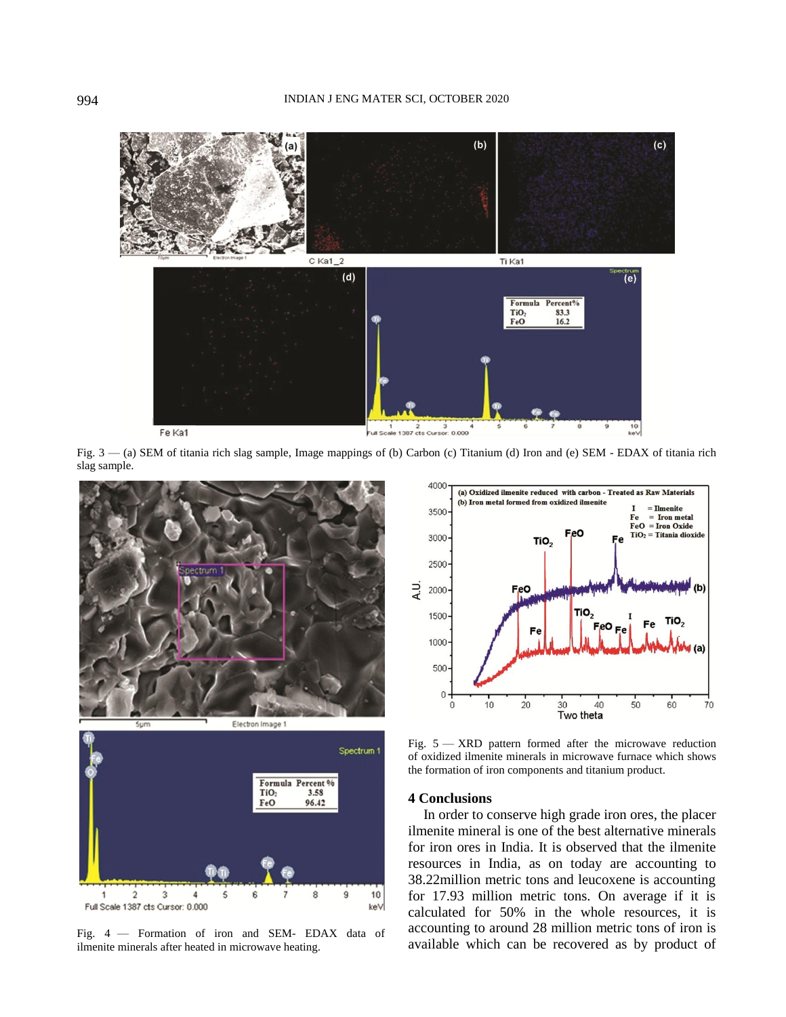#### 994 INDIAN J ENG MATER SCI, OCTOBER 2020



Fig. 3 — (a) SEM of titania rich slag sample, Image mappings of (b) Carbon (c) Titanium (d) Iron and (e) SEM - EDAX of titania rich slag sample.





Fig. 4 — Formation of iron and SEM- EDAX data of ilmenite minerals after heated in microwave heating.



Fig. 5 — XRD pattern formed after the microwave reduction of oxidized ilmenite minerals in microwave furnace which shows the formation of iron components and titanium product.

## **4 Conclusions**

In order to conserve high grade iron ores, the placer ilmenite mineral is one of the best alternative minerals for iron ores in India. It is observed that the ilmenite resources in India, as on today are accounting to 38.22million metric tons and leucoxene is accounting for 17.93 million metric tons. On average if it is calculated for 50% in the whole resources, it is accounting to around 28 million metric tons of iron is available which can be recovered as by product of